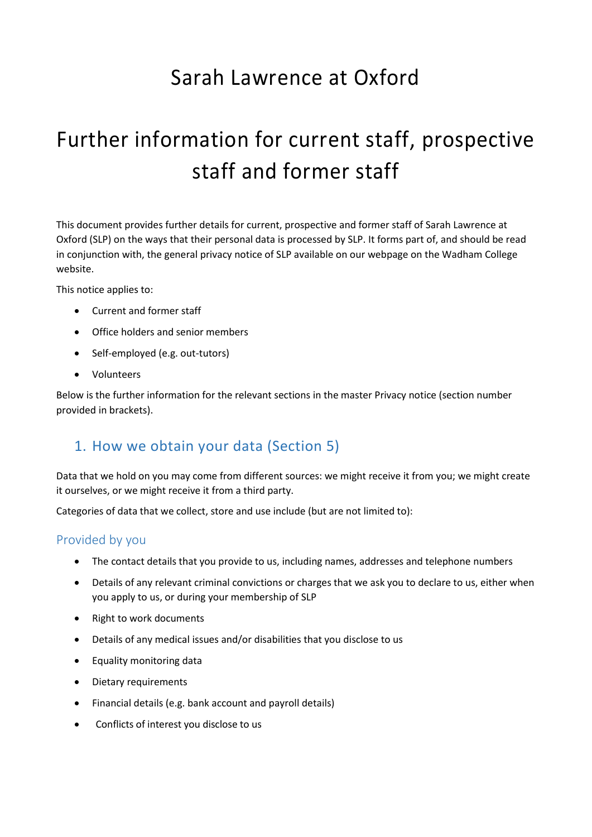# Sarah Lawrence at Oxford

# Further information for current staff, prospective staff and former staff

This document provides further details for current, prospective and former staff of Sarah Lawrence at Oxford (SLP) on the ways that their personal data is processed by SLP. It forms part of, and should be read in conjunction with, the general privacy notice of SLP available on our webpage on the Wadham College website.

This notice applies to:

- Current and former staff
- Office holders and senior members
- Self-employed (e.g. out-tutors)
- Volunteers

Below is the further information for the relevant sections in the master Privacy notice (section number provided in brackets).

### 1. How we obtain your data (Section 5)

Data that we hold on you may come from different sources: we might receive it from you; we might create it ourselves, or we might receive it from a third party.

Categories of data that we collect, store and use include (but are not limited to):

#### Provided by you

- The contact details that you provide to us, including names, addresses and telephone numbers
- Details of any relevant criminal convictions or charges that we ask you to declare to us, either when you apply to us, or during your membership of SLP
- Right to work documents
- Details of any medical issues and/or disabilities that you disclose to us
- Equality monitoring data
- Dietary requirements
- Financial details (e.g. bank account and payroll details)
- Conflicts of interest you disclose to us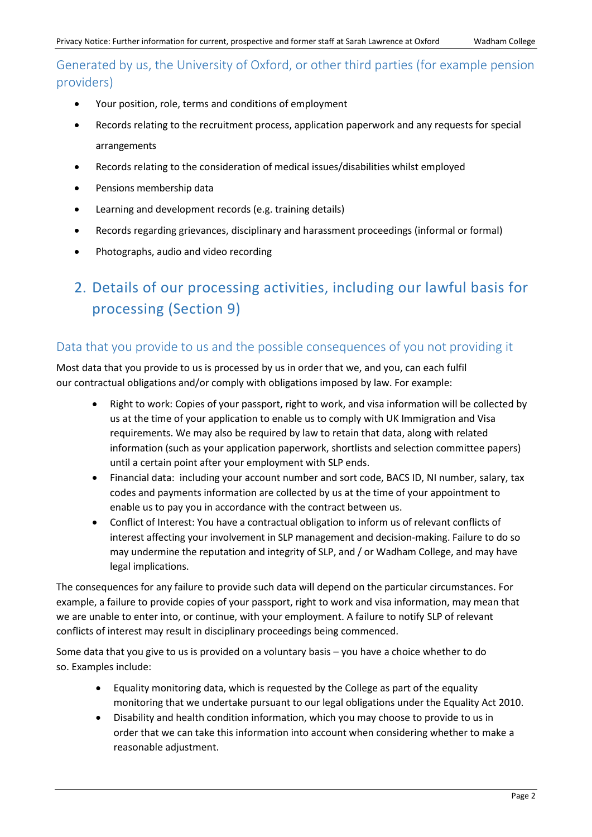Generated by us, the University of Oxford, or other third parties (for example pension providers)

- Your position, role, terms and conditions of employment
- Records relating to the recruitment process, application paperwork and any requests for special arrangements
- Records relating to the consideration of medical issues/disabilities whilst employed
- Pensions membership data
- Learning and development records (e.g. training details)
- Records regarding grievances, disciplinary and harassment proceedings (informal or formal)
- Photographs, audio and video recording

## 2. Details of our processing activities, including our lawful basis for processing (Section 9)

#### Data that you provide to us and the possible consequences of you not providing it

Most data that you provide to us is processed by us in order that we, and you, can each fulfil our contractual obligations and/or comply with obligations imposed by law. For example:

- Right to work: Copies of your passport, right to work, and visa information will be collected by us at the time of your application to enable us to comply with UK Immigration and Visa requirements. We may also be required by law to retain that data, along with related information (such as your application paperwork, shortlists and selection committee papers) until a certain point after your employment with SLP ends.
- Financial data: including your account number and sort code, BACS ID, NI number, salary, tax codes and payments information are collected by us at the time of your appointment to enable us to pay you in accordance with the contract between us.
- Conflict of Interest: You have a contractual obligation to inform us of relevant conflicts of interest affecting your involvement in SLP management and decision-making. Failure to do so may undermine the reputation and integrity of SLP, and / or Wadham College, and may have legal implications.

The consequences for any failure to provide such data will depend on the particular circumstances. For example, a failure to provide copies of your passport, right to work and visa information, may mean that we are unable to enter into, or continue, with your employment. A failure to notify SLP of relevant conflicts of interest may result in disciplinary proceedings being commenced.

Some data that you give to us is provided on a voluntary basis – you have a choice whether to do so. Examples include:

- Equality monitoring data, which is requested by the College as part of the equality monitoring that we undertake pursuant to our legal obligations under the Equality Act 2010.
- Disability and health condition information, which you may choose to provide to us in order that we can take this information into account when considering whether to make a reasonable adjustment.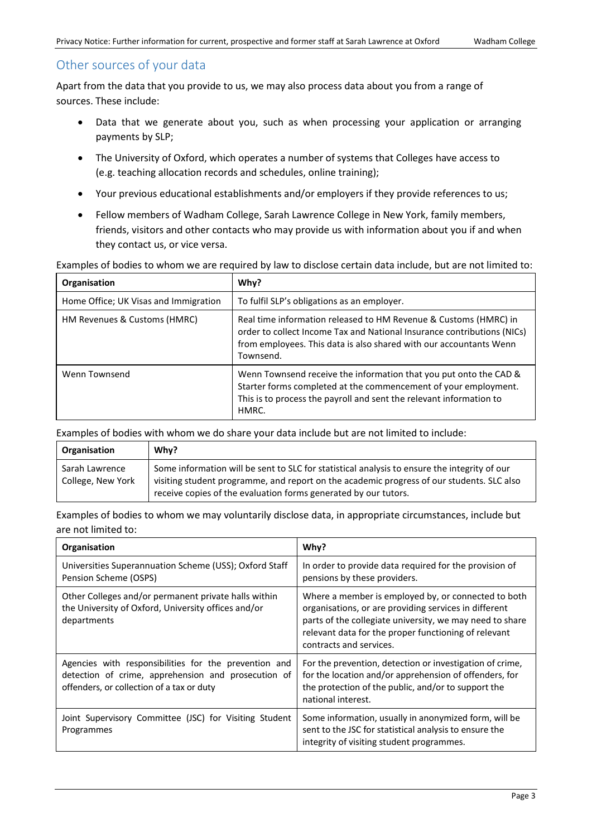#### Other sources of your data

Apart from the data that you provide to us, we may also process data about you from a range of sources. These include:

- Data that we generate about you, such as when processing your application or arranging payments by SLP;
- The University of Oxford, which operates a number of systems that Colleges have access to (e.g. teaching allocation records and schedules, online training);
- Your previous educational establishments and/or employers if they provide references to us;
- Fellow members of Wadham College, Sarah Lawrence College in New York, family members, friends, visitors and other contacts who may provide us with information about you if and when they contact us, or vice versa.

#### Examples of bodies to whom we are required by law to disclose certain data include, but are not limited to:

| Organisation                          | Why?                                                                                                                                                                                                                           |
|---------------------------------------|--------------------------------------------------------------------------------------------------------------------------------------------------------------------------------------------------------------------------------|
| Home Office; UK Visas and Immigration | To fulfil SLP's obligations as an employer.                                                                                                                                                                                    |
| HM Revenues & Customs (HMRC)          | Real time information released to HM Revenue & Customs (HMRC) in<br>order to collect Income Tax and National Insurance contributions (NICs)<br>from employees. This data is also shared with our accountants Wenn<br>Townsend. |
| Wenn Townsend                         | Wenn Townsend receive the information that you put onto the CAD &<br>Starter forms completed at the commencement of your employment.<br>This is to process the payroll and sent the relevant information to<br>HMRC.           |

Examples of bodies with whom we do share your data include but are not limited to include:

| Organisation                        | Why?                                                                                                                                                                                                                                                         |
|-------------------------------------|--------------------------------------------------------------------------------------------------------------------------------------------------------------------------------------------------------------------------------------------------------------|
| Sarah Lawrence<br>College, New York | Some information will be sent to SLC for statistical analysis to ensure the integrity of our<br>visiting student programme, and report on the academic progress of our students. SLC also<br>receive copies of the evaluation forms generated by our tutors. |

Examples of bodies to whom we may voluntarily disclose data, in appropriate circumstances, include but are not limited to:

| Organisation                                                                                                                                              | Why?                                                                                                                                                                                                                                                        |
|-----------------------------------------------------------------------------------------------------------------------------------------------------------|-------------------------------------------------------------------------------------------------------------------------------------------------------------------------------------------------------------------------------------------------------------|
| Universities Superannuation Scheme (USS); Oxford Staff<br>Pension Scheme (OSPS)                                                                           | In order to provide data required for the provision of<br>pensions by these providers.                                                                                                                                                                      |
| Other Colleges and/or permanent private halls within<br>the University of Oxford, University offices and/or<br>departments                                | Where a member is employed by, or connected to both<br>organisations, or are providing services in different<br>parts of the collegiate university, we may need to share<br>relevant data for the proper functioning of relevant<br>contracts and services. |
| Agencies with responsibilities for the prevention and<br>detection of crime, apprehension and prosecution of<br>offenders, or collection of a tax or duty | For the prevention, detection or investigation of crime,<br>for the location and/or apprehension of offenders, for<br>the protection of the public, and/or to support the<br>national interest.                                                             |
| Joint Supervisory Committee (JSC) for Visiting Student<br>Programmes                                                                                      | Some information, usually in anonymized form, will be<br>sent to the JSC for statistical analysis to ensure the<br>integrity of visiting student programmes.                                                                                                |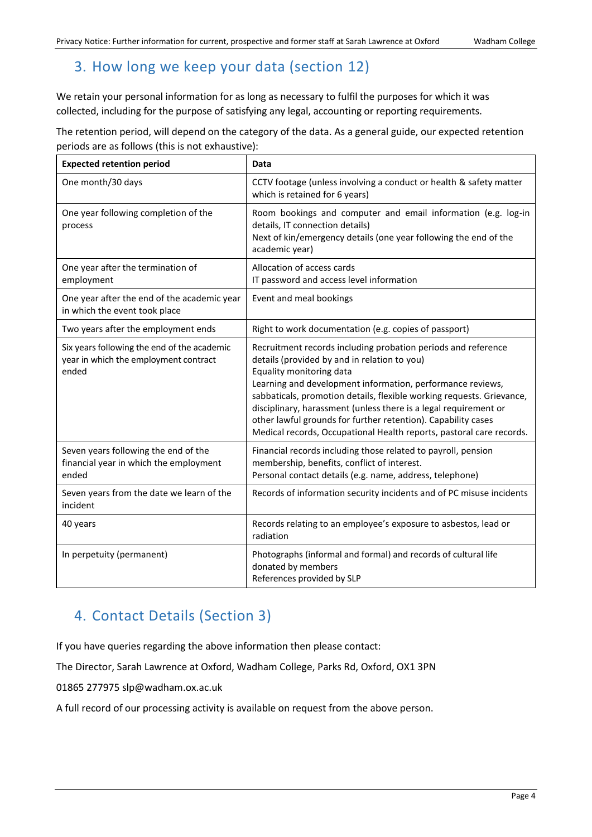## 3. How long we keep your data (section 12)

We retain your personal information for as long as necessary to fulfil the purposes for which it was collected, including for the purpose of satisfying any legal, accounting or reporting requirements.

The retention period, will depend on the category of the data. As a general guide, our expected retention periods are as follows (this is not exhaustive):

| <b>Expected retention period</b>                                                              | <b>Data</b>                                                                                                                                                                                                                                                                                                                                                                                                                                                                                   |
|-----------------------------------------------------------------------------------------------|-----------------------------------------------------------------------------------------------------------------------------------------------------------------------------------------------------------------------------------------------------------------------------------------------------------------------------------------------------------------------------------------------------------------------------------------------------------------------------------------------|
| One month/30 days                                                                             | CCTV footage (unless involving a conduct or health & safety matter<br>which is retained for 6 years)                                                                                                                                                                                                                                                                                                                                                                                          |
| One year following completion of the<br>process                                               | Room bookings and computer and email information (e.g. log-in<br>details, IT connection details)<br>Next of kin/emergency details (one year following the end of the<br>academic year)                                                                                                                                                                                                                                                                                                        |
| One year after the termination of<br>employment                                               | Allocation of access cards<br>IT password and access level information                                                                                                                                                                                                                                                                                                                                                                                                                        |
| One year after the end of the academic year<br>in which the event took place                  | Event and meal bookings                                                                                                                                                                                                                                                                                                                                                                                                                                                                       |
| Two years after the employment ends                                                           | Right to work documentation (e.g. copies of passport)                                                                                                                                                                                                                                                                                                                                                                                                                                         |
| Six years following the end of the academic<br>year in which the employment contract<br>ended | Recruitment records including probation periods and reference<br>details (provided by and in relation to you)<br>Equality monitoring data<br>Learning and development information, performance reviews,<br>sabbaticals, promotion details, flexible working requests. Grievance,<br>disciplinary, harassment (unless there is a legal requirement or<br>other lawful grounds for further retention). Capability cases<br>Medical records, Occupational Health reports, pastoral care records. |
| Seven years following the end of the<br>financial year in which the employment<br>ended       | Financial records including those related to payroll, pension<br>membership, benefits, conflict of interest.<br>Personal contact details (e.g. name, address, telephone)                                                                                                                                                                                                                                                                                                                      |
| Seven years from the date we learn of the<br>incident                                         | Records of information security incidents and of PC misuse incidents                                                                                                                                                                                                                                                                                                                                                                                                                          |
| 40 years                                                                                      | Records relating to an employee's exposure to asbestos, lead or<br>radiation                                                                                                                                                                                                                                                                                                                                                                                                                  |
| In perpetuity (permanent)                                                                     | Photographs (informal and formal) and records of cultural life<br>donated by members<br>References provided by SLP                                                                                                                                                                                                                                                                                                                                                                            |

### 4. Contact Details (Section 3)

If you have queries regarding the above information then please contact:

The Director, Sarah Lawrence at Oxford, Wadham College, Parks Rd, Oxford, OX1 3PN

01865 277975 slp@wadham.ox.ac.uk

A full record of our processing activity is available on request from the above person.